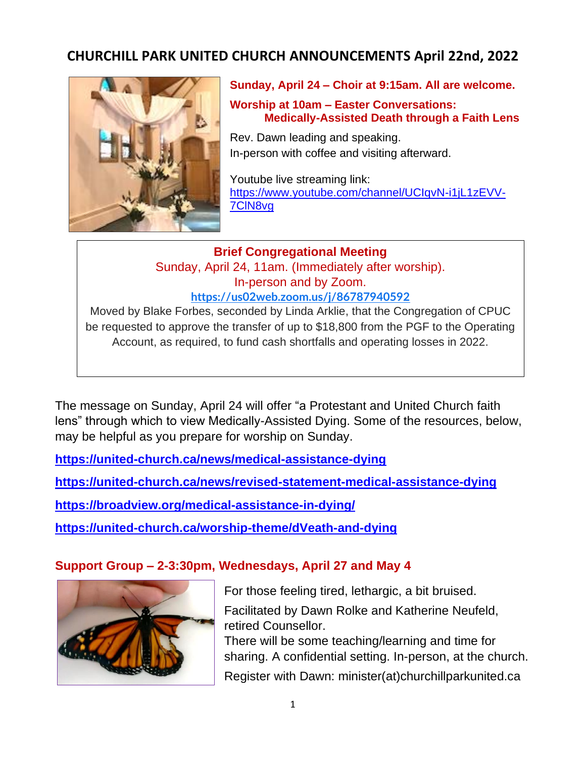# **CHURCHILL PARK UNITED CHURCH ANNOUNCEMENTS April 22nd, 2022**



**Sunday, April 24 – Choir at 9:15am. All are welcome.**

**Worship at 10am – Easter Conversations: Medically-Assisted Death through a Faith Lens**

Rev. Dawn leading and speaking. In-person with coffee and visiting afterward.

Youtube live streaming link: [https://www.youtube.com/channel/UCIqvN-i1jL1zEVV-](https://www.youtube.com/channel/UCIqvN-i1jL1zEVV-7ClN8vg)[7ClN8vg](https://www.youtube.com/channel/UCIqvN-i1jL1zEVV-7ClN8vg)

**Brief Congregational Meeting** Sunday, April 24, 11am. (Immediately after worship). In-person and by Zoom. **<https://us02web.zoom.us/j/86787940592>**

Moved by Blake Forbes, seconded by Linda Arklie, that the Congregation of CPUC be requested to approve the transfer of up to \$18,800 from the PGF to the Operating Account, as required, to fund cash shortfalls and operating losses in 2022.

The message on Sunday, April 24 will offer "a Protestant and United Church faith lens" through which to view Medically-Assisted Dying. Some of the resources, below, may be helpful as you prepare for worship on Sunday.

**<https://united-church.ca/news/medical-assistance-dying>**

**<https://united-church.ca/news/revised-statement-medical-assistance-dying>**

**<https://broadview.org/medical-assistance-in-dying/>**

**<https://united-church.ca/worship-theme/dVeath-and-dying>**

## **Support Group – 2-3:30pm, Wednesdays, April 27 and May 4**



For those feeling tired, lethargic, a bit bruised. Facilitated by Dawn Rolke and Katherine Neufeld, retired Counsellor. There will be some teaching/learning and time for sharing. A confidential setting. In-person, at the church. Register with Dawn: minister(at)churchillparkunited.ca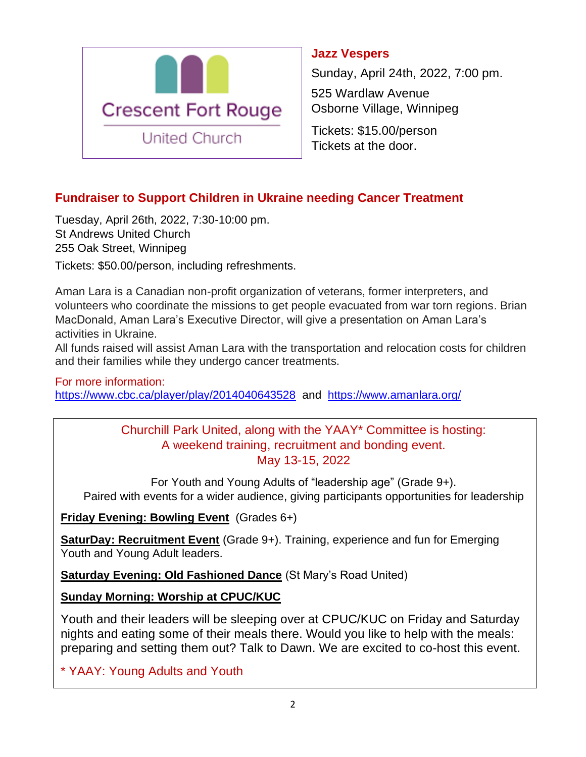

### **Jazz Vespers**

Sunday, April 24th, 2022, 7:00 pm.

525 Wardlaw Avenue Osborne Village, Winnipeg

Tickets: \$15.00/person Tickets at the door.

## **Fundraiser to Support Children in Ukraine needing Cancer Treatment**

Tuesday, April 26th, 2022, 7:30-10:00 pm. St Andrews United Church 255 Oak Street, Winnipeg

Tickets: \$50.00/person, including refreshments.

Aman Lara is a Canadian non-profit organization of veterans, former interpreters, and volunteers who coordinate the missions to get people evacuated from war torn regions. Brian MacDonald, Aman Lara's Executive Director, will give a presentation on Aman Lara's activities in Ukraine.

All funds raised will assist Aman Lara with the transportation and relocation costs for children and their families while they undergo cancer treatments.

## For more information: <https://www.cbc.ca/player/play/2014040643528> and <https://www.amanlara.org/>

#### Churchill Park United, along with the YAAY\* Committee is hosting: A weekend training, recruitment and bonding event. May 13-15, 2022

For Youth and Young Adults of "leadership age" (Grade 9+). Paired with events for a wider audience, giving participants opportunities for leadership

#### **Friday Evening: Bowling Event** (Grades 6+)

**SaturDay: Recruitment Event** (Grade 9+). Training, experience and fun for Emerging Youth and Young Adult leaders.

**Saturday Evening: Old Fashioned Dance** (St Mary's Road United)

## **Sunday Morning: Worship at CPUC/KUC**

Youth and their leaders will be sleeping over at CPUC/KUC on Friday and Saturday nights and eating some of their meals there. Would you like to help with the meals: preparing and setting them out? Talk to Dawn. We are excited to co-host this event.

\* YAAY: Young Adults and Youth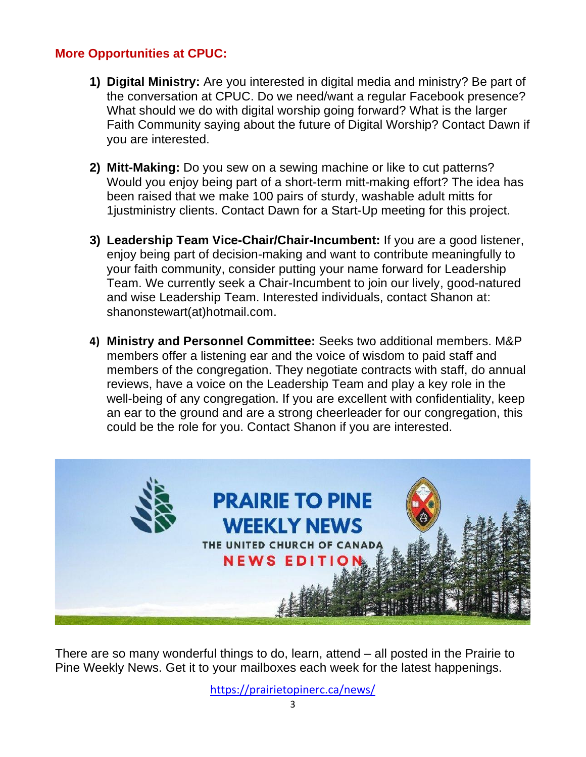#### **More Opportunities at CPUC:**

- **1) Digital Ministry:** Are you interested in digital media and ministry? Be part of the conversation at CPUC. Do we need/want a regular Facebook presence? What should we do with digital worship going forward? What is the larger Faith Community saying about the future of Digital Worship? Contact Dawn if you are interested.
- **2) Mitt-Making:** Do you sew on a sewing machine or like to cut patterns? Would you enjoy being part of a short-term mitt-making effort? The idea has been raised that we make 100 pairs of sturdy, washable adult mitts for 1justministry clients. Contact Dawn for a Start-Up meeting for this project.
- **3) Leadership Team Vice-Chair/Chair-Incumbent:** If you are a good listener, enjoy being part of decision-making and want to contribute meaningfully to your faith community, consider putting your name forward for Leadership Team. We currently seek a Chair-Incumbent to join our lively, good-natured and wise Leadership Team. Interested individuals, contact Shanon at: shanonstewart(at)hotmail.com.
- **4) Ministry and Personnel Committee:** Seeks two additional members. M&P members offer a listening ear and the voice of wisdom to paid staff and members of the congregation. They negotiate contracts with staff, do annual reviews, have a voice on the Leadership Team and play a key role in the well-being of any congregation. If you are excellent with confidentiality, keep an ear to the ground and are a strong cheerleader for our congregation, this could be the role for you. Contact Shanon if you are interested.



There are so many wonderful things to do, learn, attend – all posted in the Prairie to Pine Weekly News. Get it to your mailboxes each week for the latest happenings.

<https://prairietopinerc.ca/news/>